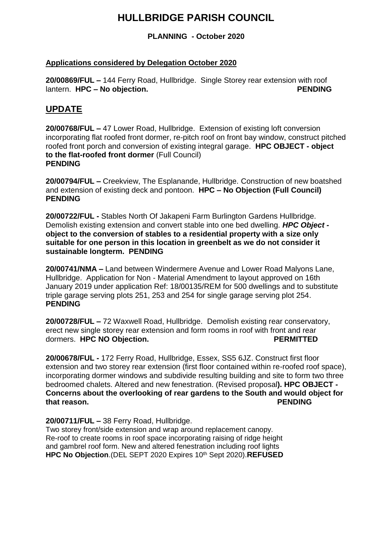# **HULLBRIDGE PARISH COUNCIL**

**PLANNING - October 2020**

## **Applications considered by Delegation October 2020**

**20/00869/FUL –** 144 Ferry Road, Hullbridge. Single Storey rear extension with roof lantern. **HPC – No objection. PENDING**

# **UPDATE**

**20/00768/FUL –** 47 Lower Road, Hullbridge. Extension of existing loft conversion incorporating flat roofed front dormer, re-pitch roof on front bay window, construct pitched roofed front porch and conversion of existing integral garage. **HPC OBJECT - object to the flat-roofed front dormer** (Full Council) **PENDING**

**20/00794/FUL –** Creekview, The Esplanande, Hullbridge. Construction of new boatshed and extension of existing deck and pontoon. **HPC – No Objection (Full Council) PENDING**

**20/00722/FUL -** Stables North Of Jakapeni Farm Burlington Gardens Hullbridge. Demolish existing extension and convert stable into one bed dwelling. *HPC Object*  **object to the conversion of stables to a residential property with a size only suitable for one person in this location in greenbelt as we do not consider it sustainable longterm. PENDING**

**20/00741/NMA –** Land between Windermere Avenue and Lower Road Malyons Lane, Hullbridge. Application for Non - Material Amendment to layout approved on 16th January 2019 under application Ref: 18/00135/REM for 500 dwellings and to substitute triple garage serving plots 251, 253 and 254 for single garage serving plot 254. **PENDING**

**20/00728/FUL –** 72 Waxwell Road, Hullbridge. Demolish existing rear conservatory, erect new single storey rear extension and form rooms in roof with front and rear dormers. **HPC NO Objection. PERMITTED** 

**20/00678/FUL -** 172 Ferry Road, Hullbridge, Essex, SS5 6JZ. Construct first floor extension and two storey rear extension (first floor contained within re-roofed roof space), incorporating dormer windows and subdivide resulting building and site to form two three bedroomed chalets. Altered and new fenestration. (Revised proposal**). HPC OBJECT - Concerns about the overlooking of rear gardens to the South and would object for that reason. PENDING**

**20/00711/FUL –** 38 Ferry Road, Hullbridge.

Two storey front/side extension and wrap around replacement canopy. Re-roof to create rooms in roof space incorporating raising of ridge height and gambrel roof form. New and altered fenestration including roof lights **HPC No Objection**.(DEL SEPT 2020 Expires 10th Sept 2020).**REFUSED**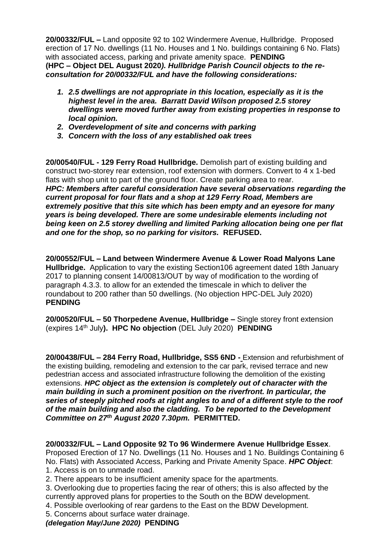**20/00332/FUL –** Land opposite 92 to 102 Windermere Avenue, Hullbridge. Proposed erection of 17 No. dwellings (11 No. Houses and 1 No. buildings containing 6 No. Flats) with associated access, parking and private amenity space. **PENDING (HPC – Object DEL August 2020***). Hullbridge Parish Council objects to the reconsultation for 20/00332/FUL and have the following considerations:*

- *1. 2.5 dwellings are not appropriate in this location, especially as it is the highest level in the area. Barratt David Wilson proposed 2.5 storey dwellings were moved further away from existing properties in response to local opinion.*
- *2. Overdevelopment of site and concerns with parking*
- *3. Concern with the loss of any established oak trees*

**20/00540/FUL - 129 Ferry Road Hullbridge.** Demolish part of existing building and construct two-storey rear extension, roof extension with dormers. Convert to 4 x 1-bed flats with shop unit to part of the ground floor. Create parking area to rear. *HPC: Members after careful consideration have several observations regarding the current proposal for four flats and a shop at 129 Ferry Road, Members are extremely positive that this site which has been empty and an eyesore for many years is being developed. There are some undesirable elements including not being keen on 2.5 storey dwelling and limited Parking allocation being one per flat and one for the shop, so no parking for visitors.* **REFUSED.**

**20/00552/FUL – Land between Windermere Avenue & Lower Road Malyons Lane Hullbridge.** Application to vary the existing Section106 agreement dated 18th January 2017 to planning consent 14/00813/OUT by way of modification to the wording of paragraph 4.3.3. to allow for an extended the timescale in which to deliver the roundabout to 200 rather than 50 dwellings. (No objection HPC-DEL July 2020) **PENDING**

**20/00520/FUL – 50 Thorpedene Avenue, Hullbridge –** Single storey front extension (expires 14th July**). HPC No objection** (DEL July 2020) **PENDING**

**20/00438/FUL – 284 Ferry Road, Hullbridge, SS5 6ND -** Extension and refurbishment of the existing building, remodeling and extension to the car park, revised terrace and new pedestrian access and associated infrastructure following the demolition of the existing extensions. *HPC object as the extension is completely out of character with the main building in such a prominent position on the riverfront. In particular, the series of steeply pitched roofs at right angles to and of a different style to the roof of the main building and also the cladding. To be reported to the Development Committee on 27th August 2020 7.30pm.* **PERMITTED.**

**20/00332/FUL – Land Opposite 92 To 96 Windermere Avenue Hullbridge Essex**.

Proposed Erection of 17 No. Dwellings (11 No. Houses and 1 No. Buildings Containing 6 No. Flats) with Associated Access, Parking and Private Amenity Space. *HPC Object*: 1. Access is on to unmade road.

2. There appears to be insufficient amenity space for the apartments.

3. Overlooking due to properties facing the rear of others; this is also affected by the currently approved plans for properties to the South on the BDW development.

- 4. Possible overlooking of rear gardens to the East on the BDW Development.
- 5. Concerns about surface water drainage.

*(delegation May/June 2020)* **PENDING**